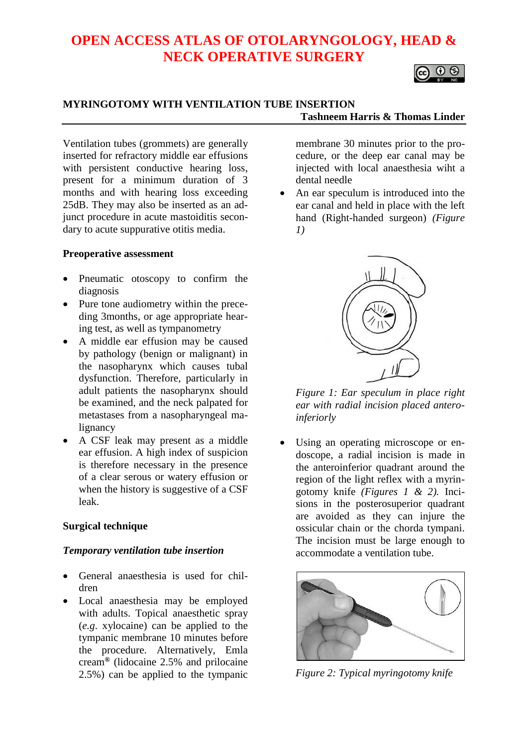# **OPEN ACCESS ATLAS OF OTOLARYNGOLOGY, HEAD & NECK OPERATIVE SURGERY**



## **MYRINGOTOMY WITH VENTILATION TUBE INSERTION Tashneem Harris & Thomas Linder**

Ventilation tubes (grommets) are generally inserted for refractory middle ear effusions with persistent conductive hearing loss, present for a minimum duration of 3 months and with hearing loss exceeding 25dB. They may also be inserted as an adjunct procedure in acute mastoiditis secondary to acute suppurative otitis media.

#### **Preoperative assessment**

- Pneumatic otoscopy to confirm the diagnosis
- Pure tone audiometry within the preceding 3months, or age appropriate hearing test, as well as tympanometry
- A middle ear effusion may be caused by pathology (benign or malignant) in the nasopharynx which causes tubal dysfunction. Therefore, particularly in adult patients the nasopharynx should be examined, and the neck palpated for metastases from a nasopharyngeal malignancy
- A CSF leak may present as a middle ear effusion. A high index of suspicion is therefore necessary in the presence of a clear serous or watery effusion or when the history is suggestive of a CSF leak.

#### **Surgical technique**

## *Temporary ventilation tube insertion*

- General anaesthesia is used for children
- Local anaesthesia may be employed with adults. Topical anaesthetic spray (*e.g*. xylocaine) can be applied to the tympanic membrane 10 minutes before the procedure. Alternatively, Emla cream**®** (lidocaine 2.5% and prilocaine 2.5%) can be applied to the tympanic

membrane 30 minutes prior to the procedure, or the deep ear canal may be injected with local anaesthesia wiht a dental needle

• An ear speculum is introduced into the ear canal and held in place with the left hand (Right-handed surgeon) *(Figure 1)*



*Figure 1: Ear speculum in place right ear with radial incision placed anteroinferiorly*

• Using an operating microscope or endoscope, a radial incision is made in the anteroinferior quadrant around the region of the light reflex with a myringotomy knife *(Figures 1 & 2).* Incisions in the posterosuperior quadrant are avoided as they can injure the ossicular chain or the chorda tympani. The incision must be large enough to accommodate a ventilation tube.



*Figure 2: Typical myringotomy knife*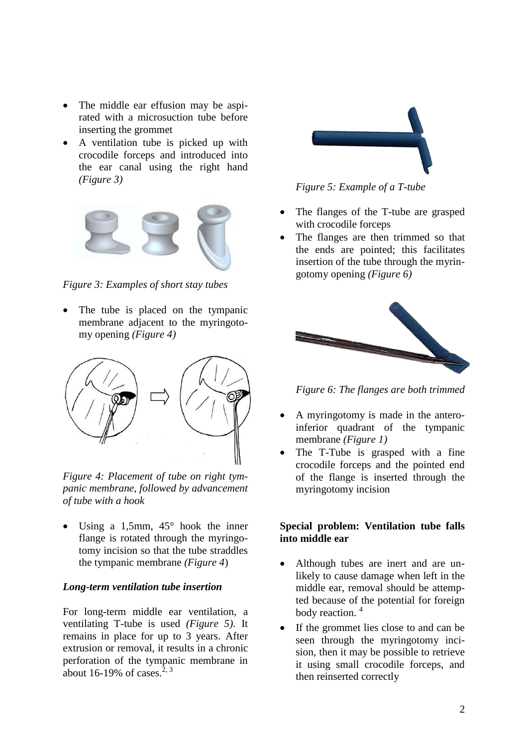- The middle ear effusion may be aspirated with a microsuction tube before inserting the grommet
- A ventilation tube is picked up with crocodile forceps and introduced into the ear canal using the right hand *(Figure 3)*



*Figure 3: Examples of short stay tubes*

The tube is placed on the tympanic membrane adjacent to the myringotomy opening *(Figure 4)*



*Figure 4: Placement of tube on right tympanic membrane, followed by advancement of tube with a hook*

Using a 1,5mm,  $45^{\circ}$  hook the inner flange is rotated through the myringotomy incision so that the tube straddles the tympanic membrane *(Figure 4*)

#### *Long-term ventilation tube insertion*

For long-term middle ear ventilation, a ventilating T-tube is used *(Figure 5)*. It remains in place for up to 3 years. After extrusion or removal, it results in a chronic perforation of the tympanic membrane in about 16-19% of cases. $2, 3$ 



*Figure 5: Example of a T-tube*

- The flanges of the T-tube are grasped with crocodile forceps
- The flanges are then trimmed so that the ends are pointed; this facilitates insertion of the tube through the myringotomy opening *(Figure 6)*



*Figure 6: The flanges are both trimmed*

- A myringotomy is made in the anteroinferior quadrant of the tympanic membrane *(Figure 1)*
- The T-Tube is grasped with a fine crocodile forceps and the pointed end of the flange is inserted through the myringotomy incision

## **Special problem: Ventilation tube falls into middle ear**

- Although tubes are inert and are unlikely to cause damage when left in the middle ear, removal should be attempted because of the potential for foreign body reaction.<sup>4</sup>
- If the grommet lies close to and can be seen through the myringotomy incision, then it may be possible to retrieve it using small crocodile forceps, and then reinserted correctly